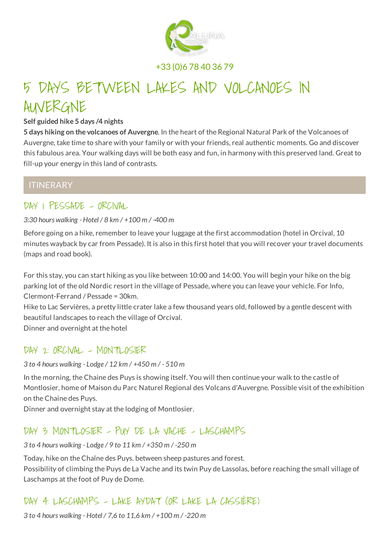

+33 (0)6 78 40 36 79

# 5 DAYS BETWEEN LAKES AND VOLCANOES IN AUVERGNE

#### **Self guided hike 5 days /4 nights**

**5 days hiking on the volcanoes of Auvergne**. In the heart of the Regional Natural Park of the Volcanoes of Auvergne, take time to share with your family or with your friends, real authentic moments. Go and discover this fabulous area. Your walking days will be both easy and fun, in harmony with this preserved land. Great to fill-up your energy in this land of contrasts.

### **ITINERARY**

### DAY 1: PESSADE - ORCIVAL

#### *3:30 hours walking - Hotel / 8 km / +100 m / -400 m*

Before going on a hike, remember to leave your luggage at the first accommodation (hotel in Orcival, 10 minutes wayback by car from Pessade). It is also in this first hotel that you will recover your travel documents (maps and road book).

For this stay, you can start hiking as you like between 10:00 and 14:00. You will begin your hike on the big parking lot of the old Nordic resort in the village of Pessade, where you can leave your vehicle. For Info, Clermont-Ferrand / Pessade = 30km.

Hike to Lac Servières, a pretty little crater lake a few thousand years old, followed by a gentle descent with beautiful landscapes to reach the village of Orcival.

Dinner and overnight at the hotel

### DAY 2: ORCIVAL - MONTLOSIER

#### *3 to 4 hours walking - Lodge / 12 km / +450 m / - 510 m*

In the morning, the Chaine des Puys is showing itself. You will then continue your walk to the castle of Montlosier, home of Maison du Parc Naturel Regional des Volcans d'Auvergne. Possible visit of the exhibition on the Chaine des Puys.

Dinner and overnight stay at the lodging of Montlosier.

### DAY 3: MONTLOSIER - PUY DE LA VACHE - LASCHAMPS

#### *3 to 4 hours walking - Lodge / 9 to 11 km / +350 m / -250 m*

Today, hike on the Chaîne des Puys. between sheep pastures and forest.

Possibility of climbing the Puys de La Vache and its twin Puy de Lassolas, before reaching the small village of Laschamps at the foot of Puy de Dome.

# DAY 4: LASCHAMPS - LAKE AYDAT (OR LAKE LA CASSIÈRE)

*3 to 4 hours walking - Hotel / 7,6 to 11,6 km / +100 m / -220 m*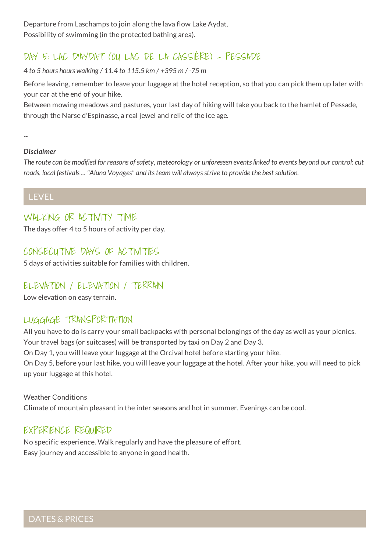Departure from Laschamps to join along the lava flow Lake Aydat, Possibility of swimming (in the protected bathing area).

# DAY 5: LAC D'AYDAT (OU LAC DE LA CASSIÈRE) - PESSADE

*4 to 5 hours hours walking / 11.4 to 115.5 km / +395 m / -75 m*

Before leaving, remember to leave your luggage at the hotel reception, so that you can pick them up later with your car at the end of your hike.

Between mowing meadows and pastures, your last day of hiking will take you back to the hamlet of Pessade, through the Narse d'Espinasse, a real jewel and relic of the ice age.

*--*

#### *Disclaimer*

The route can be modified for reasons of safety, meteorology or unforeseen events linked to events beyond our control: cut *roads, local festivals... "Aluna Voyages" and itsteam will alwaysstrive to provide the best solution.*

LEVEL

### WALKING OR ACTIVITY TIME

The days offer 4 to 5 hours of activity per day.

### CONSECUTIVE DAYS OF ACTIVITIES

5 days of activities suitable for families with children.

### ELEVATION / ELEVATION / TERRAIN

Low elevation on easy terrain.

### LUGGAGE TRANSPORTATION

All you have to do is carry your small backpacks with personal belongings of the day as well as your picnics. Your travel bags (or suitcases) will be transported by taxi on Day 2 and Day 3.

On Day 1, you will leave your luggage at the Orcival hotel before starting your hike.

On Day 5, before your last hike, you will leave your luggage at the hotel. After your hike, you will need to pick up your luggage at this hotel.

Weather Conditions Climate of mountain pleasant in the inter seasons and hot in summer. Evenings can be cool.

### EXPERIENCE REQUIRED

No specific experience. Walk regularly and have the pleasure of effort. Easy journey and accessible to anyone in good health.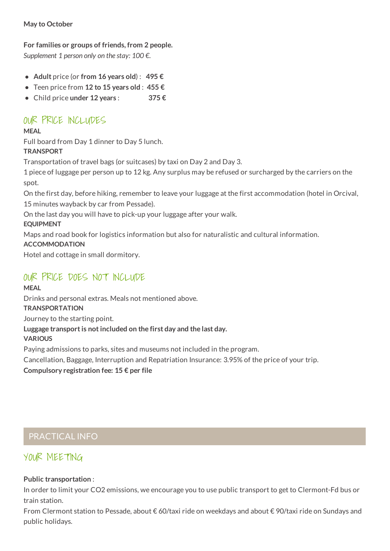#### **May to October**

### **For families or groups of friends, from 2 people.**

*Supplement 1 person only on the stay: 100 €.*

- **Adult** price (or **from 16 years old**) : **495 €**
- Teen price from **12 to 15 years old** : **455 €**
- Child price **under 12 years** : **375 €**

# OUR PRICE INCLUDES

### **MEAL**

Full board from Day 1 dinner to Day 5 lunch. **TRANSPORT**

Transportation of travel bags (or suitcases) by taxi on Day 2 and Day 3.

1 piece of luggage per person up to 12 kg. Any surplus may be refused or surcharged by the carriers on the spot.

On the first day, before hiking, remember to leave your luggage at the first accommodation (hotel in Orcival, 15 minutes wayback by car from Pessade).

On the last day you will have to pick-up your luggage after your walk.

#### **EQUIPMENT**

Maps and road book for logistics information but also for naturalistic and cultural information.

#### **ACCOMMODATION**

Hotel and cottage in small dormitory.

# OUR PRICE DOES NOT INCLUDE

#### **MEAL** Drinks and personal extras. Meals not mentioned above.

**TRANSPORTATION**

Journey to the starting point.

### **Luggage transportis notincluded on the first day and the last day.**

**VARIOUS**

Paying admissions to parks, sites and museums not included in the program.

Cancellation, Baggage, Interruption and Repatriation Insurance: 3.95% of the price of your trip.

#### **Compulsory registration fee: 15 € per file**

### PRACTICAL INFO

# YOUR MEETING

#### **Public transportation** :

In order to limit your CO2 emissions, we encourage you to use public transport to get to Clermont-Fd bus or train station.

From Clermont station to Pessade, about € 60/taxi ride on weekdays and about € 90/taxi ride on Sundays and public holidays.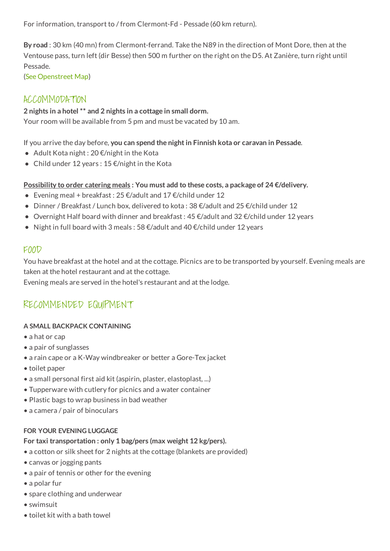For information, transport to / from Clermont-Fd - Pessade (60 km return).

**By road** : 30 km (40 mn) from Clermont-ferrand. Take the N89 in the direction of Mont Dore, then at the Ventouse pass, turn left (dir Besse) then 500 m further on the right on the D5. At Zanière, turn right until Pessade.

(See [Openstreet](https://www.openstreetmap.org/?mlat=45.6335&mlon=2.8897#map=15/45.6335/2.8897) Map)

### ACCOMMODATION

#### **2 nights in a hotel \*\* and 2 nights in a cottage in small dorm.**

Your room will be available from 5 pm and must be vacated by 10 am.

If you arrive the day before, **you can spend the nightin Finnish kota or caravan in Pessade**.

- $\bullet$  Adult Kota night : 20  $\epsilon$ /night in the Kota
- Child under 12 years:  $15 \text{ E/night}$  in the Kota

#### **Possibility to order catering meals : You must add to these costs, a package of 24 €/delivery.**

- Evening meal + breakfast:  $25 \in \text{4}$  /adult and  $17 \in \text{4}$  /child under 12
- $\bullet$  Dinner / Breakfast / Lunch box, delivered to kota : 38 €/adult and 25 €/child under 12
- $\bullet$  Overnight Half board with dinner and breakfast: 45 €/adult and 32 €/child under 12 years
- Night in full board with 3 meals : 58  $\epsilon$ /adult and 40  $\epsilon$ /child under 12 years

### FOOD

You have breakfast at the hotel and at the cottage. Picnics are to be transported by yourself. Evening meals are taken at the hotel restaurant and at the cottage.

Evening meals are served in the hotel's restaurant and at the lodge.

# RECOMMENDED EQUIPMENT

#### **A SMALL BACKPACK CONTAINING**

- a hat or cap
- a pair of sunglasses
- a rain cape or a K-Way windbreaker or better a Gore-Tex jacket
- toilet paper
- a small personal first aid kit (aspirin, plaster, elastoplast, ...)
- Tupperware with cutlery for picnics and a water container
- Plastic bags to wrap business in bad weather
- a camera / pair of binoculars

#### **FOR YOUR EVENING LUGGAGE**

#### **For taxi transportation : only 1 bag/pers (max weight 12 kg/pers).**

- a cotton or silk sheet for 2 nights at the cottage (blankets are provided)
- canvas or jogging pants
- a pair of tennis or other for the evening
- a polar fur
- spare clothing and underwear
- swimsuit
- toilet kit with a bath towel